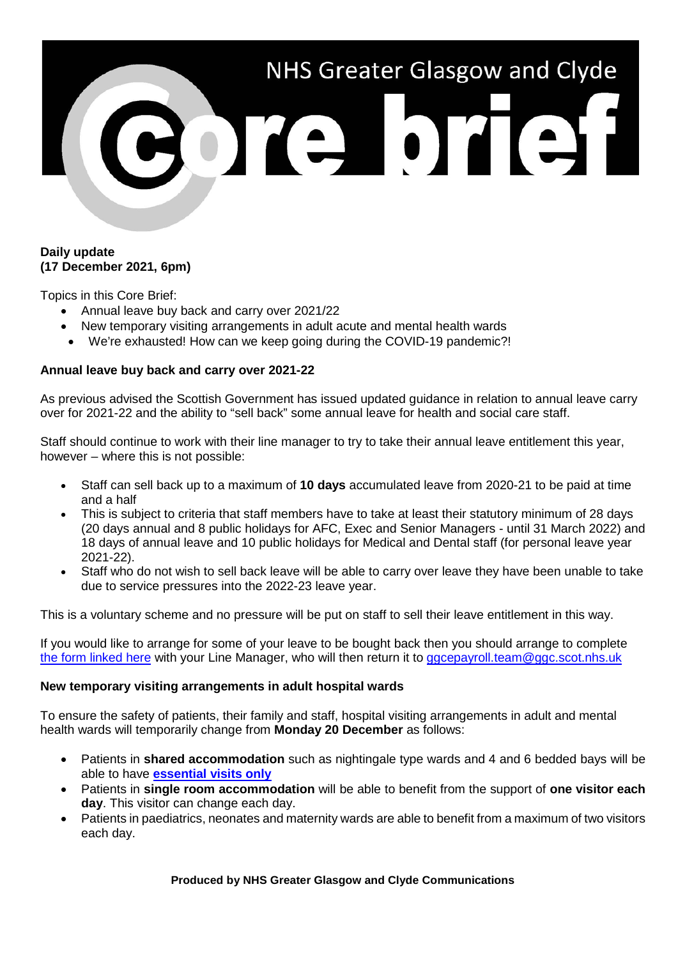

## **Daily update (17 December 2021, 6pm)**

Topics in this Core Brief:

- Annual leave buy back and carry over 2021/22
- New temporary visiting arrangements in adult acute and mental health wards
- We're exhausted! How can we keep going during the COVID-19 pandemic?!

## **Annual leave buy back and carry over 2021-22**

As previous advised the Scottish Government has issued updated guidance in relation to annual leave carry over for 2021-22 and the ability to "sell back" some annual leave for health and social care staff.

Staff should continue to work with their line manager to try to take their annual leave entitlement this year, however – where this is not possible:

- Staff can sell back up to a maximum of **10 days** accumulated leave from 2020-21 to be paid at time and a half
- This is subject to criteria that staff members have to take at least their statutory minimum of 28 days (20 days annual and 8 public holidays for AFC, Exec and Senior Managers - until 31 March 2022) and 18 days of annual leave and 10 public holidays for Medical and Dental staff (for personal leave year 2021-22).
- Staff who do not wish to sell back leave will be able to carry over leave they have been unable to take due to service pressures into the 2022-23 leave year.

This is a voluntary scheme and no pressure will be put on staff to sell their leave entitlement in this way.

If you would like to arrange for some of your leave to be bought back then you should arrange to complete [the form linked here](https://www.nhsggc.org.uk/working-with-us/hr-connect/policies-and-staff-governance/policies/annual-leave-overview/annual-leave-buy-back-and-carry-over-2021-22/) with your Line Manager, who will then return it to gacepayroll.team@ggc.scot.nhs.uk

## **New temporary visiting arrangements in adult hospital wards**

To ensure the safety of patients, their family and staff, hospital visiting arrangements in adult and mental health wards will temporarily change from **Monday 20 December** as follows:

- Patients in **shared accommodation** such as nightingale type wards and 4 and 6 bedded bays will be able to have **[essential visits only](https://www.nhsggc.scot/your-health/covid-19/patients-hospital-appointments-and-visiting/essential-visiting-faqs/)**
- Patients in **single room accommodation** will be able to benefit from the support of **one visitor each day**. This visitor can change each day.
- Patients in paediatrics, neonates and maternity wards are able to benefit from a maximum of two visitors each day.

**Produced by NHS Greater Glasgow and Clyde Communications**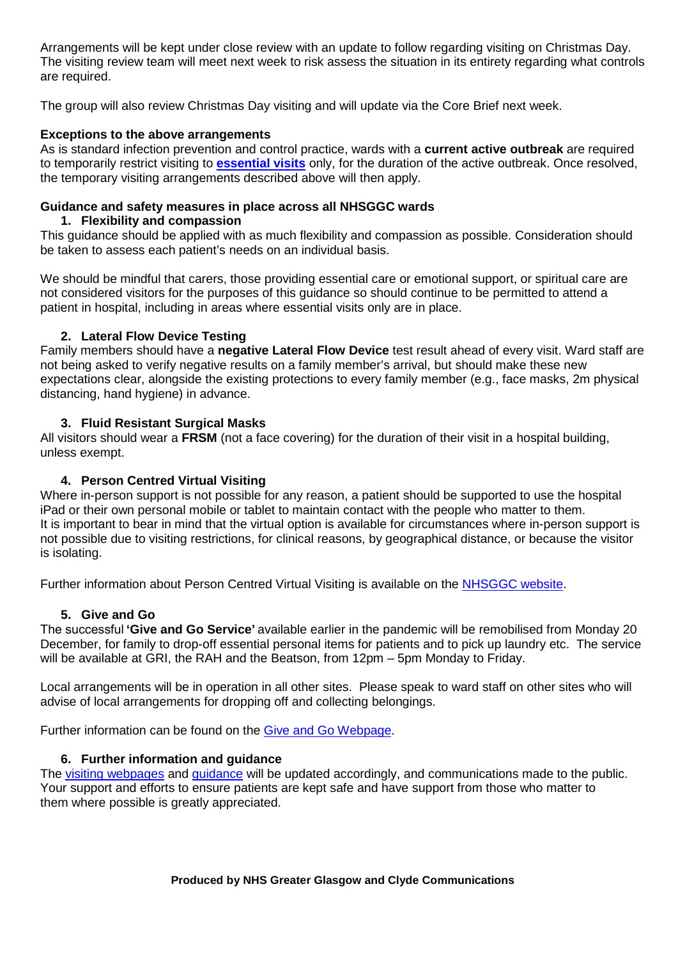Arrangements will be kept under close review with an update to follow regarding visiting on Christmas Day. The visiting review team will meet next week to risk assess the situation in its entirety regarding what controls are required.

The group will also review Christmas Day visiting and will update via the Core Brief next week.

# **Exceptions to the above arrangements**

As is standard infection prevention and control practice, wards with a **current active outbreak** are required to temporarily restrict visiting to **[essential visits](https://www.nhsggc.scot/your-health/covid-19/patients-hospital-appointments-and-visiting/essential-visiting-faqs/)** only, for the duration of the active outbreak. Once resolved, the temporary visiting arrangements described above will then apply.

#### **Guidance and safety measures in place across all NHSGGC wards 1. Flexibility and compassion**

This guidance should be applied with as much flexibility and compassion as possible. Consideration should be taken to assess each patient's needs on an individual basis.

We should be mindful that carers, those providing essential care or emotional support, or spiritual care are not considered visitors for the purposes of this guidance so should continue to be permitted to attend a patient in hospital, including in areas where essential visits only are in place.

# **2. Lateral Flow Device Testing**

Family members should have a **negative Lateral Flow Device** test result ahead of every visit. Ward staff are not being asked to verify negative results on a family member's arrival, but should make these new expectations clear, alongside the existing protections to every family member (e.g., face masks, 2m physical distancing, hand hygiene) in advance.

# **3. Fluid Resistant Surgical Masks**

All visitors should wear a **FRSM** (not a face covering) for the duration of their visit in a hospital building, unless exempt.

# **4. Person Centred Virtual Visiting**

Where in-person support is not possible for any reason, a patient should be supported to use the hospital iPad or their own personal mobile or tablet to maintain contact with the people who matter to them. It is important to bear in mind that the virtual option is available for circumstances where in-person support is not possible due to visiting restrictions, for clinical reasons, by geographical distance, or because the visitor is isolating.

Further information about Person Centred Virtual Visiting is available on the [NHSGGC website.](https://www.nhsggc.org.uk/patients-and-visitors/person-centred-visiting/person-centred-virtual-visiting/)

## **5. Give and Go**

The successful **'Give and Go Service'** available earlier in the pandemic will be remobilised from Monday 20 December, for family to drop-off essential personal items for patients and to pick up laundry etc. The service will be available at GRI, the RAH and the Beatson, from 12pm – 5pm Monday to Friday.

Local arrangements will be in operation in all other sites. Please speak to ward staff on other sites who will advise of local arrangements for dropping off and collecting belongings.

Further information can be found on the Give and Go [Webpage.](https://www.nhsggc.org.uk/your-health/health-issues/covid-19-coronavirus/for-patients-the-public/patients-hospital-appointments-visiting/give-go/)

# **6. Further information and guidance**

The [visiting webpages](https://www.nhsggc.org.uk/your-health/health-issues/covid-19-coronavirus/covid-19-info-for-nhsggc-staff/for-acute-medical-dental-staff/hospital-visiting-info-toolkit/) and [guidance](https://www.nhsggc.org.uk/media/268968/nhsggc-local-toolkit-for-hospital-visiting-v1d1.pdf) will be updated accordingly, and communications made to the public. Your support and efforts to ensure patients are kept safe and have support from those who matter to them where possible is greatly appreciated.